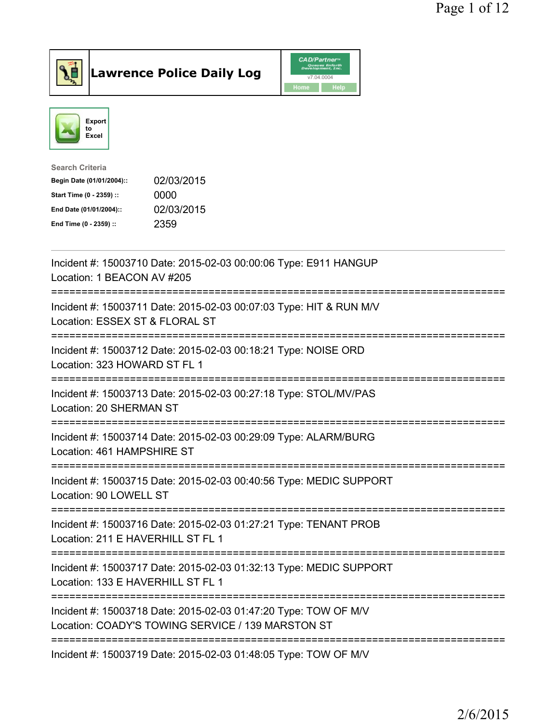

**Lawrence Police Daily Log** 



| 02/03/2015 |
|------------|
| 0000       |
| 02/03/2015 |
| 2359       |
|            |

| Incident #: 15003710 Date: 2015-02-03 00:00:06 Type: E911 HANGUP<br>Location: 1 BEACON AV #205<br>===========================<br>===================== |
|--------------------------------------------------------------------------------------------------------------------------------------------------------|
| Incident #: 15003711 Date: 2015-02-03 00:07:03 Type: HIT & RUN M/V<br>Location: ESSEX ST & FLORAL ST<br>:=======================                       |
| Incident #: 15003712 Date: 2015-02-03 00:18:21 Type: NOISE ORD<br>Location: 323 HOWARD ST FL 1                                                         |
| Incident #: 15003713 Date: 2015-02-03 00:27:18 Type: STOL/MV/PAS<br>Location: 20 SHERMAN ST<br>.----------------                                       |
| Incident #: 15003714 Date: 2015-02-03 00:29:09 Type: ALARM/BURG<br>Location: 461 HAMPSHIRE ST                                                          |
| Incident #: 15003715 Date: 2015-02-03 00:40:56 Type: MEDIC SUPPORT<br>Location: 90 LOWELL ST                                                           |
| Incident #: 15003716 Date: 2015-02-03 01:27:21 Type: TENANT PROB<br>Location: 211 E HAVERHILL ST FL 1<br>==========================                    |
| Incident #: 15003717 Date: 2015-02-03 01:32:13 Type: MEDIC SUPPORT<br>Location: 133 E HAVERHILL ST FL 1                                                |
| Incident #: 15003718 Date: 2015-02-03 01:47:20 Type: TOW OF M/V<br>Location: COADY'S TOWING SERVICE / 139 MARSTON ST                                   |
| Incident #: 15003719 Date: 2015-02-03 01:48:05 Type: TOW OF M/V                                                                                        |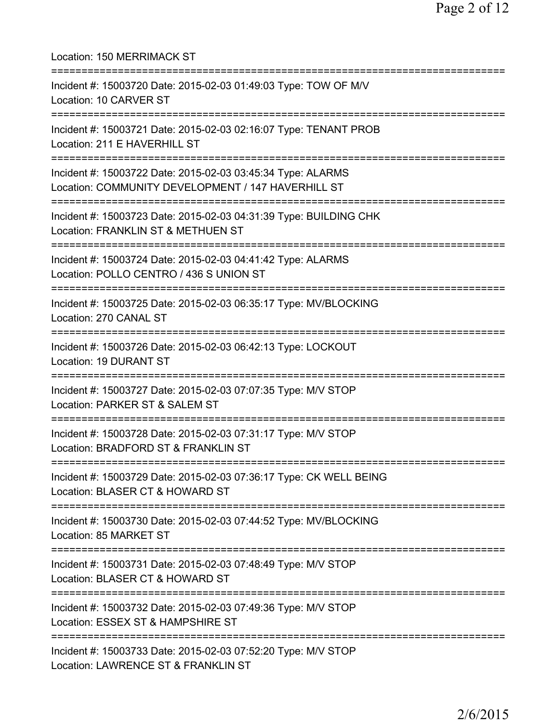| Location: 150 MERRIMACK ST<br>=====================                                                               |
|-------------------------------------------------------------------------------------------------------------------|
| Incident #: 15003720 Date: 2015-02-03 01:49:03 Type: TOW OF M/V<br>Location: 10 CARVER ST                         |
| Incident #: 15003721 Date: 2015-02-03 02:16:07 Type: TENANT PROB<br>Location: 211 E HAVERHILL ST                  |
| Incident #: 15003722 Date: 2015-02-03 03:45:34 Type: ALARMS<br>Location: COMMUNITY DEVELOPMENT / 147 HAVERHILL ST |
| Incident #: 15003723 Date: 2015-02-03 04:31:39 Type: BUILDING CHK<br>Location: FRANKLIN ST & METHUEN ST           |
| Incident #: 15003724 Date: 2015-02-03 04:41:42 Type: ALARMS<br>Location: POLLO CENTRO / 436 S UNION ST            |
| Incident #: 15003725 Date: 2015-02-03 06:35:17 Type: MV/BLOCKING<br>Location: 270 CANAL ST                        |
| Incident #: 15003726 Date: 2015-02-03 06:42:13 Type: LOCKOUT<br>Location: 19 DURANT ST                            |
| Incident #: 15003727 Date: 2015-02-03 07:07:35 Type: M/V STOP<br>Location: PARKER ST & SALEM ST                   |
| Incident #: 15003728 Date: 2015-02-03 07:31:17 Type: M/V STOP<br>Location: BRADFORD ST & FRANKLIN ST              |
| Incident #: 15003729 Date: 2015-02-03 07:36:17 Type: CK WELL BEING<br>Location: BLASER CT & HOWARD ST             |
| Incident #: 15003730 Date: 2015-02-03 07:44:52 Type: MV/BLOCKING<br>Location: 85 MARKET ST                        |
| Incident #: 15003731 Date: 2015-02-03 07:48:49 Type: M/V STOP<br>Location: BLASER CT & HOWARD ST                  |
| Incident #: 15003732 Date: 2015-02-03 07:49:36 Type: M/V STOP<br>Location: ESSEX ST & HAMPSHIRE ST                |
| Incident #: 15003733 Date: 2015-02-03 07:52:20 Type: M/V STOP<br>Location: LAWRENCE ST & FRANKLIN ST              |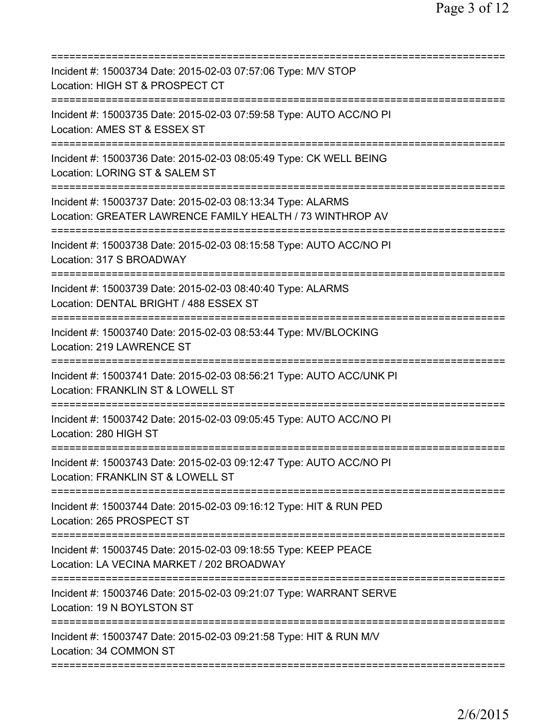| Incident #: 15003734 Date: 2015-02-03 07:57:06 Type: M/V STOP<br>Location: HIGH ST & PROSPECT CT                                                    |
|-----------------------------------------------------------------------------------------------------------------------------------------------------|
| Incident #: 15003735 Date: 2015-02-03 07:59:58 Type: AUTO ACC/NO PI<br>Location: AMES ST & ESSEX ST                                                 |
| Incident #: 15003736 Date: 2015-02-03 08:05:49 Type: CK WELL BEING<br>Location: LORING ST & SALEM ST                                                |
| Incident #: 15003737 Date: 2015-02-03 08:13:34 Type: ALARMS<br>Location: GREATER LAWRENCE FAMILY HEALTH / 73 WINTHROP AV                            |
| Incident #: 15003738 Date: 2015-02-03 08:15:58 Type: AUTO ACC/NO PI<br>Location: 317 S BROADWAY                                                     |
| Incident #: 15003739 Date: 2015-02-03 08:40:40 Type: ALARMS<br>Location: DENTAL BRIGHT / 488 ESSEX ST                                               |
| Incident #: 15003740 Date: 2015-02-03 08:53:44 Type: MV/BLOCKING<br>Location: 219 LAWRENCE ST                                                       |
| Incident #: 15003741 Date: 2015-02-03 08:56:21 Type: AUTO ACC/UNK PI<br>Location: FRANKLIN ST & LOWELL ST                                           |
| Incident #: 15003742 Date: 2015-02-03 09:05:45 Type: AUTO ACC/NO PI<br>Location: 280 HIGH ST                                                        |
| Incident #: 15003743 Date: 2015-02-03 09:12:47 Type: AUTO ACC/NO PI<br>Location: FRANKLIN ST & LOWELL ST                                            |
| ============================<br>================<br>Incident #: 15003744 Date: 2015-02-03 09:16:12 Type: HIT & RUN PED<br>Location: 265 PROSPECT ST |
| Incident #: 15003745 Date: 2015-02-03 09:18:55 Type: KEEP PEACE<br>Location: LA VECINA MARKET / 202 BROADWAY                                        |
| Incident #: 15003746 Date: 2015-02-03 09:21:07 Type: WARRANT SERVE<br>Location: 19 N BOYLSTON ST                                                    |
| Incident #: 15003747 Date: 2015-02-03 09:21:58 Type: HIT & RUN M/V<br>Location: 34 COMMON ST                                                        |
|                                                                                                                                                     |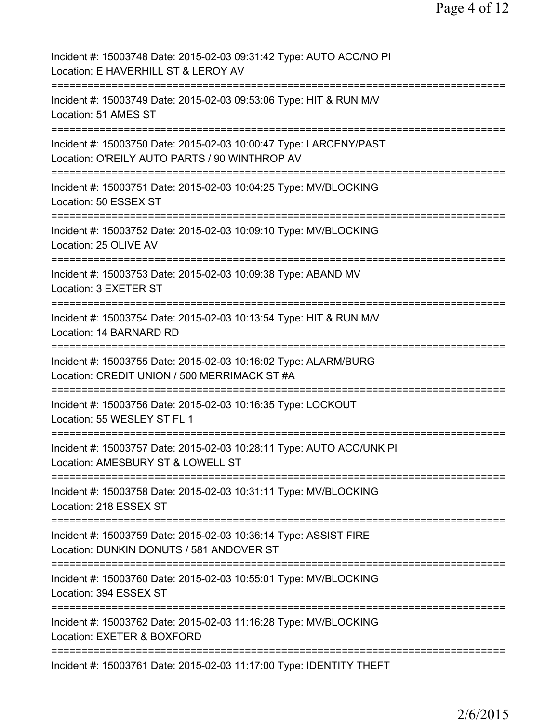| Incident #: 15003748 Date: 2015-02-03 09:31:42 Type: AUTO ACC/NO PI<br>Location: E HAVERHILL ST & LEROY AV                                           |
|------------------------------------------------------------------------------------------------------------------------------------------------------|
| Incident #: 15003749 Date: 2015-02-03 09:53:06 Type: HIT & RUN M/V<br>Location: 51 AMES ST                                                           |
| Incident #: 15003750 Date: 2015-02-03 10:00:47 Type: LARCENY/PAST<br>Location: O'REILY AUTO PARTS / 90 WINTHROP AV                                   |
| Incident #: 15003751 Date: 2015-02-03 10:04:25 Type: MV/BLOCKING<br>Location: 50 ESSEX ST                                                            |
| Incident #: 15003752 Date: 2015-02-03 10:09:10 Type: MV/BLOCKING<br>Location: 25 OLIVE AV                                                            |
| Incident #: 15003753 Date: 2015-02-03 10:09:38 Type: ABAND MV<br>Location: 3 EXETER ST                                                               |
| Incident #: 15003754 Date: 2015-02-03 10:13:54 Type: HIT & RUN M/V<br>Location: 14 BARNARD RD                                                        |
| Incident #: 15003755 Date: 2015-02-03 10:16:02 Type: ALARM/BURG<br>Location: CREDIT UNION / 500 MERRIMACK ST #A                                      |
| Incident #: 15003756 Date: 2015-02-03 10:16:35 Type: LOCKOUT<br>Location: 55 WESLEY ST FL 1                                                          |
| Incident #: 15003757 Date: 2015-02-03 10:28:11 Type: AUTO ACC/UNK PI<br>Location: AMESBURY ST & LOWELL ST                                            |
| Incident #: 15003758 Date: 2015-02-03 10:31:11 Type: MV/BLOCKING<br>Location: 218 ESSEX ST                                                           |
| Incident #: 15003759 Date: 2015-02-03 10:36:14 Type: ASSIST FIRE<br>Location: DUNKIN DONUTS / 581 ANDOVER ST<br>==================================== |
| Incident #: 15003760 Date: 2015-02-03 10:55:01 Type: MV/BLOCKING<br>Location: 394 ESSEX ST                                                           |
| Incident #: 15003762 Date: 2015-02-03 11:16:28 Type: MV/BLOCKING<br>Location: EXETER & BOXFORD                                                       |
| Incident #: 15003761 Date: 2015-02-03 11:17:00 Type: IDENTITY THEFT                                                                                  |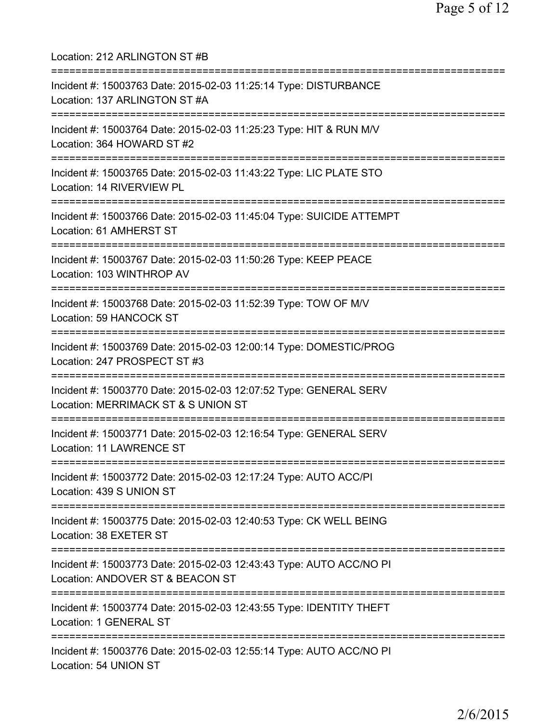Location: 212 ARLINGTON ST #B =========================================================================== Incident #: 15003763 Date: 2015-02-03 11:25:14 Type: DISTURBANCE Location: 137 ARLINGTON ST #A =========================================================================== Incident #: 15003764 Date: 2015-02-03 11:25:23 Type: HIT & RUN M/V Location: 364 HOWARD ST #2 =========================================================================== Incident #: 15003765 Date: 2015-02-03 11:43:22 Type: LIC PLATE STO Location: 14 RIVERVIEW PL =========================================================================== Incident #: 15003766 Date: 2015-02-03 11:45:04 Type: SUICIDE ATTEMPT Location: 61 AMHERST ST =========================================================================== Incident #: 15003767 Date: 2015-02-03 11:50:26 Type: KEEP PEACE Location: 103 WINTHROP AV =========================================================================== Incident #: 15003768 Date: 2015-02-03 11:52:39 Type: TOW OF M/V Location: 59 HANCOCK ST =========================================================================== Incident #: 15003769 Date: 2015-02-03 12:00:14 Type: DOMESTIC/PROG Location: 247 PROSPECT ST #3 =========================================================================== Incident #: 15003770 Date: 2015-02-03 12:07:52 Type: GENERAL SERV Location: MERRIMACK ST & S UNION ST =========================================================================== Incident #: 15003771 Date: 2015-02-03 12:16:54 Type: GENERAL SERV Location: 11 LAWRENCE ST =========================================================================== Incident #: 15003772 Date: 2015-02-03 12:17:24 Type: AUTO ACC/PI Location: 439 S UNION ST =========================================================================== Incident #: 15003775 Date: 2015-02-03 12:40:53 Type: CK WELL BEING Location: 38 EXETER ST =========================================================================== Incident #: 15003773 Date: 2015-02-03 12:43:43 Type: AUTO ACC/NO PI Location: ANDOVER ST & BEACON ST =========================================================================== Incident #: 15003774 Date: 2015-02-03 12:43:55 Type: IDENTITY THEFT Location: 1 GENERAL ST =========================================================================== Incident #: 15003776 Date: 2015-02-03 12:55:14 Type: AUTO ACC/NO PI Location: 54 UNION ST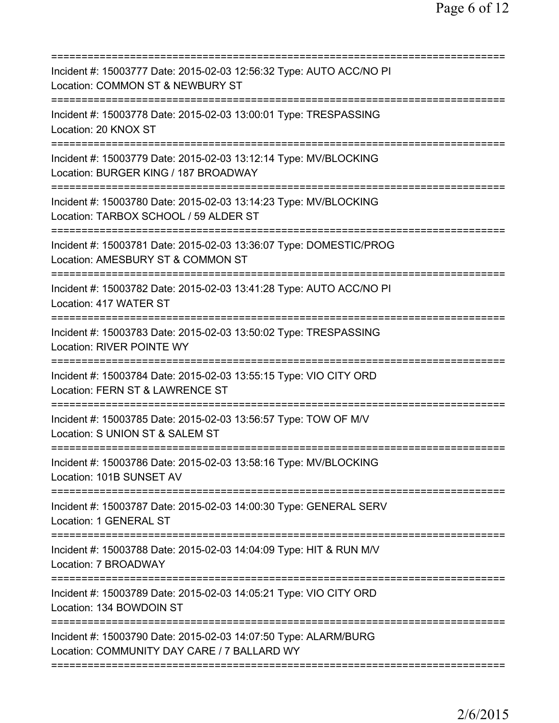| Incident #: 15003777 Date: 2015-02-03 12:56:32 Type: AUTO ACC/NO PI<br>Location: COMMON ST & NEWBURY ST                                   |
|-------------------------------------------------------------------------------------------------------------------------------------------|
| Incident #: 15003778 Date: 2015-02-03 13:00:01 Type: TRESPASSING<br>Location: 20 KNOX ST                                                  |
| Incident #: 15003779 Date: 2015-02-03 13:12:14 Type: MV/BLOCKING<br>Location: BURGER KING / 187 BROADWAY                                  |
| Incident #: 15003780 Date: 2015-02-03 13:14:23 Type: MV/BLOCKING<br>Location: TARBOX SCHOOL / 59 ALDER ST                                 |
| Incident #: 15003781 Date: 2015-02-03 13:36:07 Type: DOMESTIC/PROG<br>Location: AMESBURY ST & COMMON ST<br>============================== |
| Incident #: 15003782 Date: 2015-02-03 13:41:28 Type: AUTO ACC/NO PI<br>Location: 417 WATER ST<br>===========================              |
| Incident #: 15003783 Date: 2015-02-03 13:50:02 Type: TRESPASSING<br><b>Location: RIVER POINTE WY</b><br>==============                    |
| Incident #: 15003784 Date: 2015-02-03 13:55:15 Type: VIO CITY ORD<br>Location: FERN ST & LAWRENCE ST                                      |
| Incident #: 15003785 Date: 2015-02-03 13:56:57 Type: TOW OF M/V<br>Location: S UNION ST & SALEM ST                                        |
| Incident #: 15003786 Date: 2015-02-03 13:58:16 Type: MV/BLOCKING<br>Location: 101B SUNSET AV                                              |
| Incident #: 15003787 Date: 2015-02-03 14:00:30 Type: GENERAL SERV<br>Location: 1 GENERAL ST                                               |
| Incident #: 15003788 Date: 2015-02-03 14:04:09 Type: HIT & RUN M/V<br>Location: 7 BROADWAY                                                |
| Incident #: 15003789 Date: 2015-02-03 14:05:21 Type: VIO CITY ORD<br>Location: 134 BOWDOIN ST                                             |
| Incident #: 15003790 Date: 2015-02-03 14:07:50 Type: ALARM/BURG<br>Location: COMMUNITY DAY CARE / 7 BALLARD WY                            |
|                                                                                                                                           |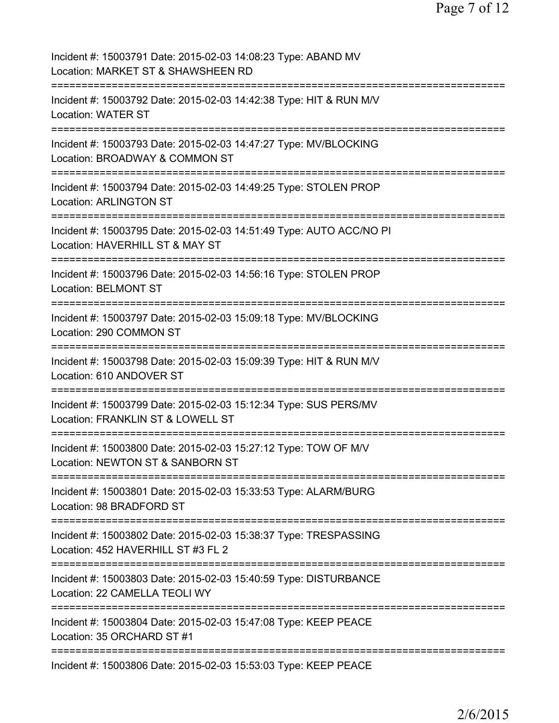| Incident #: 15003791 Date: 2015-02-03 14:08:23 Type: ABAND MV<br>Location: MARKET ST & SHAWSHEEN RD                                 |
|-------------------------------------------------------------------------------------------------------------------------------------|
| Incident #: 15003792 Date: 2015-02-03 14:42:38 Type: HIT & RUN M/V<br><b>Location: WATER ST</b>                                     |
| Incident #: 15003793 Date: 2015-02-03 14:47:27 Type: MV/BLOCKING<br>Location: BROADWAY & COMMON ST                                  |
| ==========================<br>Incident #: 15003794 Date: 2015-02-03 14:49:25 Type: STOLEN PROP<br><b>Location: ARLINGTON ST</b>     |
| Incident #: 15003795 Date: 2015-02-03 14:51:49 Type: AUTO ACC/NO PI<br>Location: HAVERHILL ST & MAY ST                              |
| ==========================<br>Incident #: 15003796 Date: 2015-02-03 14:56:16 Type: STOLEN PROP<br><b>Location: BELMONT ST</b>       |
| ====================================<br>Incident #: 15003797 Date: 2015-02-03 15:09:18 Type: MV/BLOCKING<br>Location: 290 COMMON ST |
| Incident #: 15003798 Date: 2015-02-03 15:09:39 Type: HIT & RUN M/V<br>Location: 610 ANDOVER ST                                      |
| Incident #: 15003799 Date: 2015-02-03 15:12:34 Type: SUS PERS/MV<br>Location: FRANKLIN ST & LOWELL ST                               |
| Incident #: 15003800 Date: 2015-02-03 15:27:12 Type: TOW OF M/V<br>Location: NEWTON ST & SANBORN ST                                 |
| Incident #: 15003801 Date: 2015-02-03 15:33:53 Type: ALARM/BURG<br>Location: 98 BRADFORD ST                                         |
| Incident #: 15003802 Date: 2015-02-03 15:38:37 Type: TRESPASSING<br>Location: 452 HAVERHILL ST #3 FL 2                              |
| ============================<br>Incident #: 15003803 Date: 2015-02-03 15:40:59 Type: DISTURBANCE<br>Location: 22 CAMELLA TEOLI WY   |
| Incident #: 15003804 Date: 2015-02-03 15:47:08 Type: KEEP PEACE<br>Location: 35 ORCHARD ST #1                                       |
| Incident #: 15003806 Date: 2015-02-03 15:53:03 Type: KEEP PEACE                                                                     |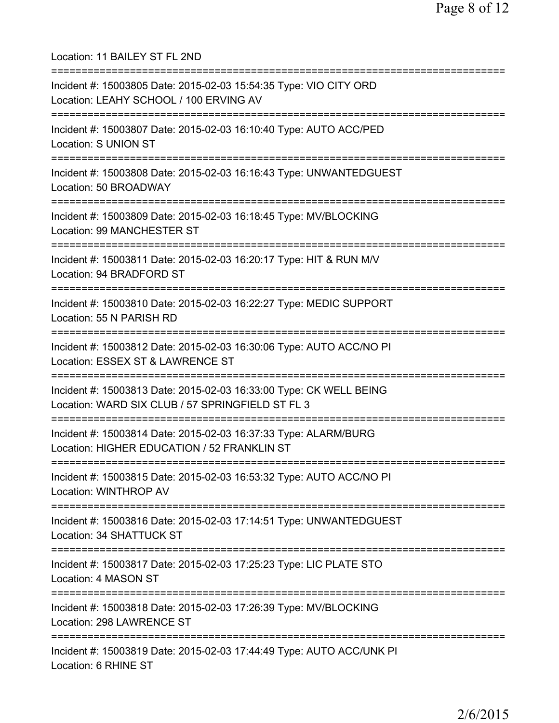Location: 11 BAILEY ST FL 2ND =========================================================================== Incident #: 15003805 Date: 2015-02-03 15:54:35 Type: VIO CITY ORD Location: LEAHY SCHOOL / 100 ERVING AV =========================================================================== Incident #: 15003807 Date: 2015-02-03 16:10:40 Type: AUTO ACC/PED Location: S UNION ST =========================================================================== Incident #: 15003808 Date: 2015-02-03 16:16:43 Type: UNWANTEDGUEST Location: 50 BROADWAY =========================================================================== Incident #: 15003809 Date: 2015-02-03 16:18:45 Type: MV/BLOCKING Location: 99 MANCHESTER ST =========================================================================== Incident #: 15003811 Date: 2015-02-03 16:20:17 Type: HIT & RUN M/V Location: 94 BRADFORD ST =========================================================================== Incident #: 15003810 Date: 2015-02-03 16:22:27 Type: MEDIC SUPPORT Location: 55 N PARISH RD =========================================================================== Incident #: 15003812 Date: 2015-02-03 16:30:06 Type: AUTO ACC/NO PI Location: ESSEX ST & LAWRENCE ST =========================================================================== Incident #: 15003813 Date: 2015-02-03 16:33:00 Type: CK WELL BEING Location: WARD SIX CLUB / 57 SPRINGFIELD ST FL 3 =========================================================================== Incident #: 15003814 Date: 2015-02-03 16:37:33 Type: ALARM/BURG Location: HIGHER EDUCATION / 52 FRANKLIN ST =========================================================================== Incident #: 15003815 Date: 2015-02-03 16:53:32 Type: AUTO ACC/NO PI Location: WINTHROP AV =========================================================================== Incident #: 15003816 Date: 2015-02-03 17:14:51 Type: UNWANTEDGUEST Location: 34 SHATTUCK ST =========================================================================== Incident #: 15003817 Date: 2015-02-03 17:25:23 Type: LIC PLATE STO Location: 4 MASON ST =========================================================================== Incident #: 15003818 Date: 2015-02-03 17:26:39 Type: MV/BLOCKING Location: 298 LAWRENCE ST =========================================================================== Incident #: 15003819 Date: 2015-02-03 17:44:49 Type: AUTO ACC/UNK PI Location: 6 RHINE ST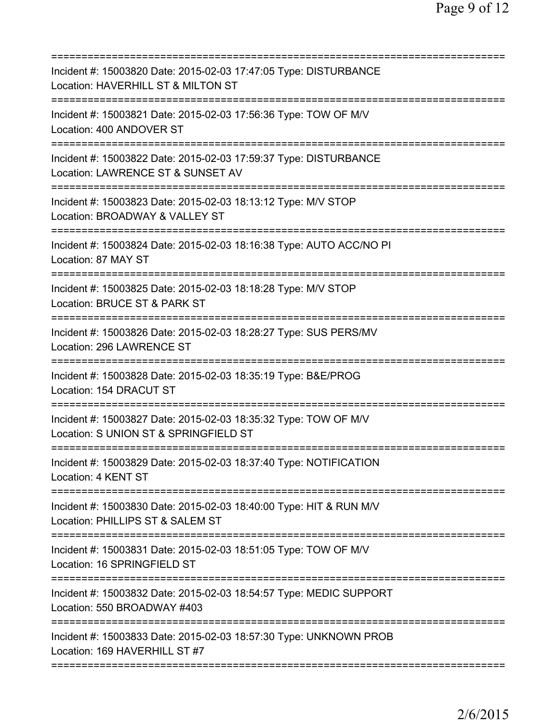| Incident #: 15003820 Date: 2015-02-03 17:47:05 Type: DISTURBANCE<br>Location: HAVERHILL ST & MILTON ST                        |
|-------------------------------------------------------------------------------------------------------------------------------|
| Incident #: 15003821 Date: 2015-02-03 17:56:36 Type: TOW OF M/V<br>Location: 400 ANDOVER ST                                   |
| Incident #: 15003822 Date: 2015-02-03 17:59:37 Type: DISTURBANCE<br>Location: LAWRENCE ST & SUNSET AV                         |
| Incident #: 15003823 Date: 2015-02-03 18:13:12 Type: M/V STOP<br>Location: BROADWAY & VALLEY ST                               |
| :========================<br>Incident #: 15003824 Date: 2015-02-03 18:16:38 Type: AUTO ACC/NO PI<br>Location: 87 MAY ST       |
| Incident #: 15003825 Date: 2015-02-03 18:18:28 Type: M/V STOP<br>Location: BRUCE ST & PARK ST                                 |
| Incident #: 15003826 Date: 2015-02-03 18:28:27 Type: SUS PERS/MV<br>Location: 296 LAWRENCE ST                                 |
| Incident #: 15003828 Date: 2015-02-03 18:35:19 Type: B&E/PROG<br>Location: 154 DRACUT ST                                      |
| Incident #: 15003827 Date: 2015-02-03 18:35:32 Type: TOW OF M/V<br>Location: S UNION ST & SPRINGFIELD ST                      |
| Incident #: 15003829 Date: 2015-02-03 18:37:40 Type: NOTIFICATION<br>Location: 4 KENT ST                                      |
| Incident #: 15003830 Date: 2015-02-03 18:40:00 Type: HIT & RUN M/V<br>Location: PHILLIPS ST & SALEM ST                        |
| ===========================<br>Incident #: 15003831 Date: 2015-02-03 18:51:05 Type: TOW OF M/V<br>Location: 16 SPRINGFIELD ST |
| Incident #: 15003832 Date: 2015-02-03 18:54:57 Type: MEDIC SUPPORT<br>Location: 550 BROADWAY #403                             |
| Incident #: 15003833 Date: 2015-02-03 18:57:30 Type: UNKNOWN PROB<br>Location: 169 HAVERHILL ST #7                            |
|                                                                                                                               |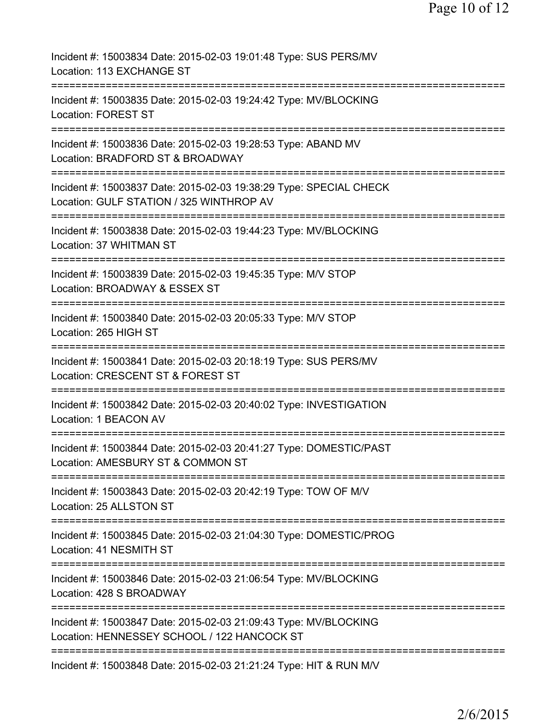| Incident #: 15003834 Date: 2015-02-03 19:01:48 Type: SUS PERS/MV<br>Location: 113 EXCHANGE ST                                               |
|---------------------------------------------------------------------------------------------------------------------------------------------|
| Incident #: 15003835 Date: 2015-02-03 19:24:42 Type: MV/BLOCKING<br><b>Location: FOREST ST</b>                                              |
| ======================================<br>Incident #: 15003836 Date: 2015-02-03 19:28:53 Type: ABAND MV<br>Location: BRADFORD ST & BROADWAY |
| Incident #: 15003837 Date: 2015-02-03 19:38:29 Type: SPECIAL CHECK<br>Location: GULF STATION / 325 WINTHROP AV                              |
| Incident #: 15003838 Date: 2015-02-03 19:44:23 Type: MV/BLOCKING<br>Location: 37 WHITMAN ST                                                 |
| Incident #: 15003839 Date: 2015-02-03 19:45:35 Type: M/V STOP<br>Location: BROADWAY & ESSEX ST                                              |
| ========================<br>Incident #: 15003840 Date: 2015-02-03 20:05:33 Type: M/V STOP<br>Location: 265 HIGH ST                          |
| Incident #: 15003841 Date: 2015-02-03 20:18:19 Type: SUS PERS/MV<br>Location: CRESCENT ST & FOREST ST                                       |
| Incident #: 15003842 Date: 2015-02-03 20:40:02 Type: INVESTIGATION<br>Location: 1 BEACON AV                                                 |
| Incident #: 15003844 Date: 2015-02-03 20:41:27 Type: DOMESTIC/PAST<br>Location: AMESBURY ST & COMMON ST                                     |
| ========================<br>Incident #: 15003843 Date: 2015-02-03 20:42:19 Type: TOW OF M/V<br>Location: 25 ALLSTON ST                      |
| Incident #: 15003845 Date: 2015-02-03 21:04:30 Type: DOMESTIC/PROG<br>Location: 41 NESMITH ST                                               |
| Incident #: 15003846 Date: 2015-02-03 21:06:54 Type: MV/BLOCKING<br>Location: 428 S BROADWAY                                                |
| Incident #: 15003847 Date: 2015-02-03 21:09:43 Type: MV/BLOCKING<br>Location: HENNESSEY SCHOOL / 122 HANCOCK ST                             |
| Incident #: 15003848 Date: 2015-02-03 21:21:24 Type: HIT & RUN M/V                                                                          |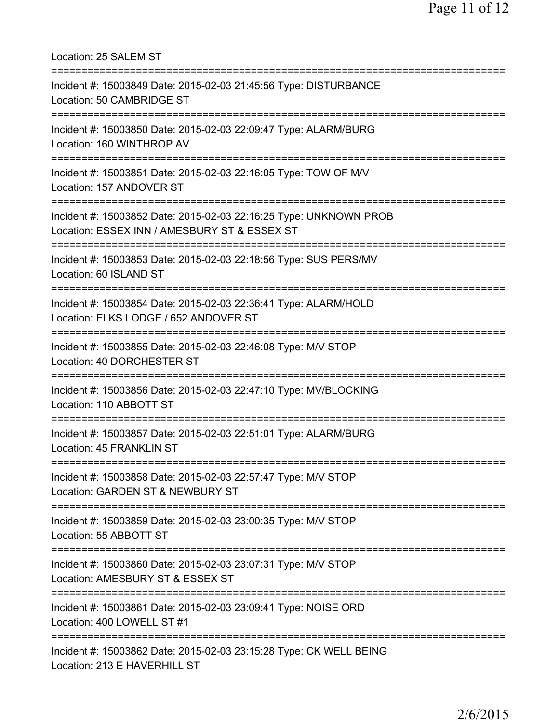Location: 25 SALEM ST =========================================================================== Incident #: 15003849 Date: 2015-02-03 21:45:56 Type: DISTURBANCE Location: 50 CAMBRIDGE ST =========================================================================== Incident #: 15003850 Date: 2015-02-03 22:09:47 Type: ALARM/BURG Location: 160 WINTHROP AV =========================================================================== Incident #: 15003851 Date: 2015-02-03 22:16:05 Type: TOW OF M/V Location: 157 ANDOVER ST =========================================================================== Incident #: 15003852 Date: 2015-02-03 22:16:25 Type: UNKNOWN PROB Location: ESSEX INN / AMESBURY ST & ESSEX ST =========================================================================== Incident #: 15003853 Date: 2015-02-03 22:18:56 Type: SUS PERS/MV Location: 60 ISLAND ST =========================================================================== Incident #: 15003854 Date: 2015-02-03 22:36:41 Type: ALARM/HOLD Location: ELKS LODGE / 652 ANDOVER ST =========================================================================== Incident #: 15003855 Date: 2015-02-03 22:46:08 Type: M/V STOP Location: 40 DORCHESTER ST =========================================================================== Incident #: 15003856 Date: 2015-02-03 22:47:10 Type: MV/BLOCKING Location: 110 ABBOTT ST =========================================================================== Incident #: 15003857 Date: 2015-02-03 22:51:01 Type: ALARM/BURG Location: 45 FRANKLIN ST =========================================================================== Incident #: 15003858 Date: 2015-02-03 22:57:47 Type: M/V STOP Location: GARDEN ST & NEWBURY ST =========================================================================== Incident #: 15003859 Date: 2015-02-03 23:00:35 Type: M/V STOP Location: 55 ABBOTT ST =========================================================================== Incident #: 15003860 Date: 2015-02-03 23:07:31 Type: M/V STOP Location: AMESBURY ST & ESSEX ST =========================================================================== Incident #: 15003861 Date: 2015-02-03 23:09:41 Type: NOISE ORD Location: 400 LOWELL ST #1 =========================================================================== Incident #: 15003862 Date: 2015-02-03 23:15:28 Type: CK WELL BEING Location: 213 E HAVERHILL ST